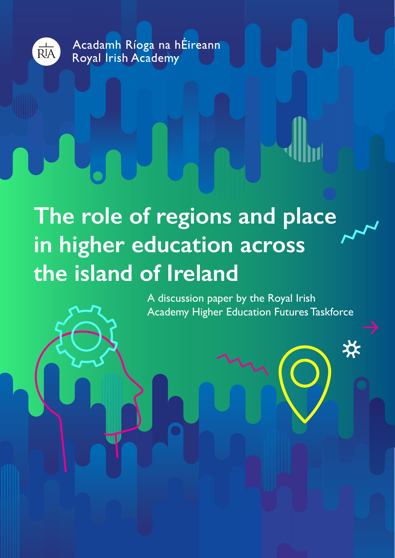

Acadamh Ríoga na hÉireann Royal Irish Academy

**The role of regions and place in higher education across the island of Ireland**

> A discussion paper by the Royal Irish Academy Higher Education Futures Taskforce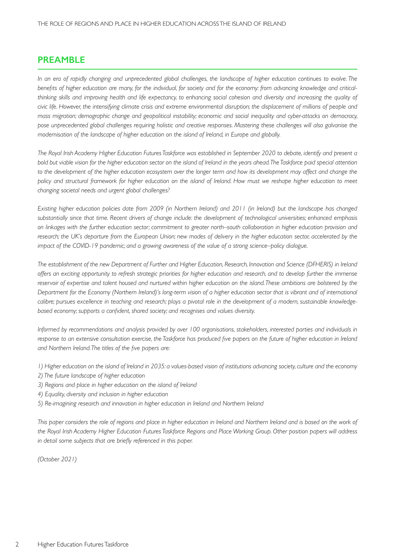## **PREAMBLE**

*In an era of rapidly changing and unprecedented global challenges, the landscape of higher education continues to evolve. The benefits of higher education are many, for the individual, for society and for the economy: from advancing knowledge and criticalthinking skills and improving health and life expectancy, to enhancing social cohesion and diversity and increasing the quality of civic life. However, the intensifying climate crisis and extreme environmental disruption; the displacement of millions of people and mass migration; demographic change and geopolitical instability; economic and social inequality and cyber-attacks on democracy, pose unprecedented global challenges requiring holistic and creative responses. Mastering these challenges will also galvanise the modernisation of the landscape of higher education on the island of Ireland, in Europe and globally.* 

*The Royal Irish Academy Higher Education Futures Taskforce was established in September 2020 to debate, identify and present a bold but viable vision for the higher education sector on the island of Ireland in the years ahead. The Taskforce paid special attention*  to the development of the higher education ecosystem over the longer term and how its development may affect and change the *policy and structural framework for higher education on the island of Ireland. How must we reshape higher education to meet changing societal needs and urgent global challenges?*

*Existing higher education policies date from 2009 (in Northern Ireland) and 2011 (in Ireland) but the landscape has changed substantially since that time. Recent drivers of change include: the development of technological universities; enhanced emphasis on linkages with the further education sector; commitment to greater north–south collaboration in higher education provision and research; the UK's departure from the European Union; new modes of delivery in the higher education sector, accelerated by the impact of the COVID-19 pandemic; and a growing awareness of the value of a strong science–policy dialogue.* 

*The establishment of the new Department of Further and Higher Education, Research, Innovation and Science (DFHERIS) in Ireland offers an exciting opportunity to refresh strategic priorities for higher education and research, and to develop further the immense reservoir of expertise and talent housed and nurtured within higher education on the island. These ambitions are bolstered by the Department for the Economy (Northern Ireland)'s long-term vision of a higher education sector that is vibrant and of international calibre; pursues excellence in teaching and research; plays a pivotal role in the development of a modern, sustainable knowledgebased economy; supports a confident, shared society; and recognises and values diversity.* 

*Informed by recommendations and analysis provided by over 100 organisations, stakeholders, interested parties and individuals in response to an extensive consultation exercise, the Taskforce has produced five papers on the future of higher education in Ireland and Northern Ireland. The titles of the five papers are:*

- *1) Higher education on the island of Ireland in 2035: a values-based vision of institutions advancing society, culture and the economy*
- *2) The future landscape of higher education*
- *3) Regions and place in higher education on the island of Ireland*
- *4) Equality, diversity and inclusion in higher education*
- *5) Re-imagining research and innovation in higher education in Ireland and Northern Ireland*

This paper considers the role of regions and place in higher education in Ireland and Northern Ireland and is based on the work of *the Royal Irish Academy Higher Education Futures Taskforce Regions and Place Working Group. Other position papers will address in detail some subjects that are briefly referenced in this paper.* 

*(October 2021)*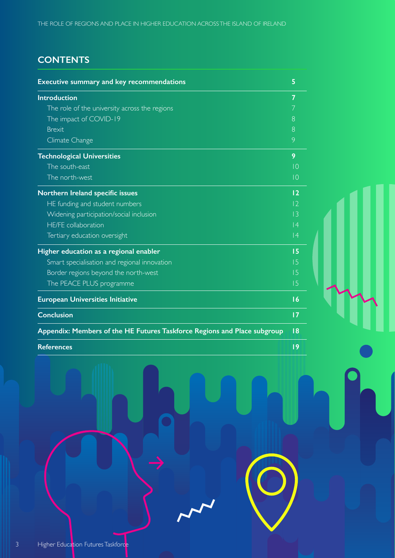# **CONTENTS**

| <b>Executive summary and key recommendations</b>                         | 5               |
|--------------------------------------------------------------------------|-----------------|
| <b>Introduction</b>                                                      | 7               |
| The role of the university across the regions                            | 7               |
| The impact of COVID-19                                                   | 8               |
| <b>Brexit</b>                                                            | 8               |
| Climate Change                                                           | 9               |
| <b>Technological Universities</b>                                        | 9               |
| The south-east                                                           | $\overline{10}$ |
| The north-west                                                           | $\overline{10}$ |
| Northern Ireland specific issues                                         | 12              |
| HE funding and student numbers                                           | 2               |
| Widening participation/social inclusion                                  | 3               |
| <b>HE/FE</b> collaboration                                               | 4               |
| Tertiary education oversight                                             | 4               |
| Higher education as a regional enabler                                   | 15              |
| Smart specialisation and regional innovation                             | 15              |
| Border regions beyond the north-west                                     | 15              |
| The PEACE PLUS programme                                                 | 15              |
| <b>European Universities Initiative</b>                                  | 16              |
| <b>Conclusion</b>                                                        | 17              |
| Appendix: Members of the HE Futures Taskforce Regions and Place subgroup | 8               |
| <b>References</b>                                                        | 9               |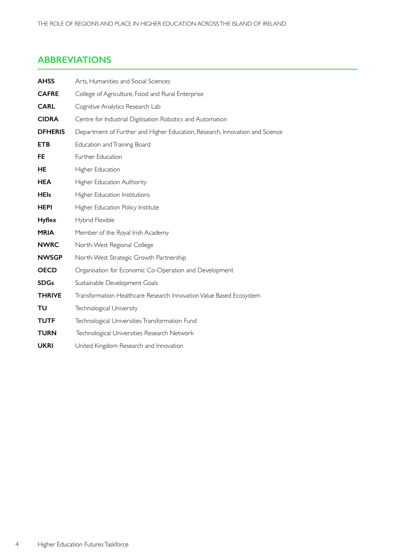## **ABBREVIATIONS**

| <b>AHSS</b>    | Arts, Humanities and Social Sciences                                         |
|----------------|------------------------------------------------------------------------------|
| <b>CAFRE</b>   | College of Agriculture, Food and Rural Enterprise                            |
| <b>CARL</b>    | Cognitive Analytics Research Lab                                             |
| <b>CIDRA</b>   | Centre for Industrial Digitisation Robotics and Automation                   |
| <b>DFHERIS</b> | Department of Further and Higher Education, Research, Innovation and Science |
| <b>ETB</b>     | Education and Training Board                                                 |
| <b>FE</b>      | Further Education                                                            |
| HE             | Higher Education                                                             |
| <b>HEA</b>     | Higher Education Authority                                                   |
| <b>HEIs</b>    | Higher Education Institutions                                                |
| <b>HEPI</b>    | Higher Education Policy Institute                                            |
| <b>Hyflex</b>  | Hybrid Flexible                                                              |
| <b>MRIA</b>    | Member of the Royal Irish Academy                                            |
| <b>NWRC</b>    | North-West Regional College                                                  |
| <b>NWSGP</b>   | North-West Strategic Growth Partnership                                      |
| <b>OECD</b>    | Organisation for Economic Co-Operation and Development                       |
| <b>SDGs</b>    | Sustainable Development Goals                                                |
| <b>THRIVE</b>  | Transformation Healthcare Research Innovation Value Based Ecosystem          |
| TU             | Technological University                                                     |
| <b>TUTF</b>    | Technological Universities Transformation Fund                               |
| <b>TURN</b>    | Technological Universities Research Network                                  |
| <b>UKRI</b>    | United Kingdom Research and Innovation                                       |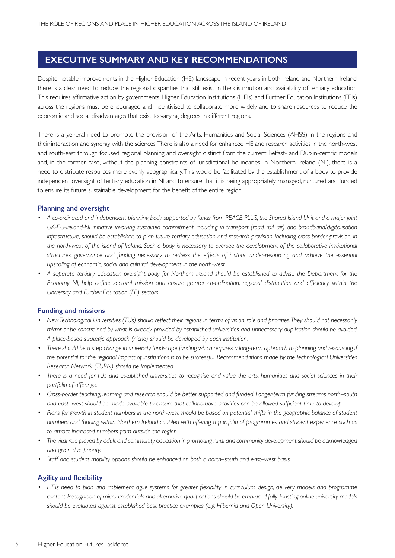## **EXECUTIVE SUMMARY AND KEY RECOMMENDATIONS**

Despite notable improvements in the Higher Education (HE) landscape in recent years in both Ireland and Northern Ireland, there is a clear need to reduce the regional disparities that still exist in the distribution and availability of tertiary education. This requires affirmative action by governments. Higher Education Institutions (HEIs) and Further Education Institutions (FEIs) across the regions must be encouraged and incentivised to collaborate more widely and to share resources to reduce the economic and social disadvantages that exist to varying degrees in different regions.

There is a general need to promote the provision of the Arts, Humanities and Social Sciences (AHSS) in the regions and their interaction and synergy with the sciences. There is also a need for enhanced HE and research activities in the north-west and south-east through focused regional planning and oversight distinct from the current Belfast- and Dublin-centric models and, in the former case, without the planning constraints of jurisdictional boundaries. In Northern Ireland (NI), there is a need to distribute resources more evenly geographically. This would be facilitated by the establishment of a body to provide independent oversight of tertiary education in NI and to ensure that it is being appropriately managed, nurtured and funded to ensure its future sustainable development for the benefit of the entire region.

#### **Planning and oversight**

- A co-ordinated and independent planning body supported by funds from PEACE PLUS, the Shared Island Unit and a major joint *UK-EU-Ireland-NI initiative involving sustained commitment, including in transport (road, rail, air) and broadband/digitalisation infrastructure, should be established to plan future tertiary education and research provision, including cross-border provision, in the north-west of the island of Ireland. Such a body is necessary to oversee the development of the collaborative institutional structures, governance and funding necessary to redress the effects of historic under-resourcing and achieve the essential upscaling of economic, social and cultural development in the north-west.*
- A separate tertiary education oversight body for Northern Ireland should be established to advise the Department for the *Economy NI, help define sectoral mission and ensure greater co-ordination, regional distribution and efficiency within the University and Further Education (FE) sectors.*

#### **Funding and missions**

- New Technological Universities (TUs) should reflect their regions in terms of vision, role and priorities. They should not necessarily *mirror or be constrained by what is already provided by established universities and unnecessary duplication should be avoided. A place-based strategic approach (niche) should be developed by each institution.*
- There should be a step change in university landscape funding which requires a long-term approach to planning and resourcing if *the potential for the regional impact of institutions is to be successful. Recommendations made by the Technological Universities Research Network (TURN) should be implemented.*
- There is a need for TUs and established universities to recognise and value the arts, humanities and social sciences in their *portfolio of offerings.*
- Cross-border teaching, learning and research should be better supported and funded. Longer-term funding streams north–south *and east–west should be made available to ensure that collaborative activities can be allowed sufficient time to develop.*
- Plans for growth in student numbers in the north-west should be based on potential shifts in the geographic balance of student *numbers and funding within Northern Ireland coupled with offering a portfolio of programmes and student experience such as to attract increased numbers from outside the region.*
- *• The vital role played by adult and community education in promoting rural and community development should be acknowledged and given due priority.*
- *• Staff and student mobility options should be enhanced on both a north–south and east–west basis.*

#### **Agility and flexibility**

• HEIs need to plan and implement agile systems for greater flexibility in curriculum design, delivery models and programme *content. Recognition of micro-credentials and alternative qualifications should be embraced fully. Existing online university models should be evaluated against established best practice examples (e.g. Hibernia and Open University).*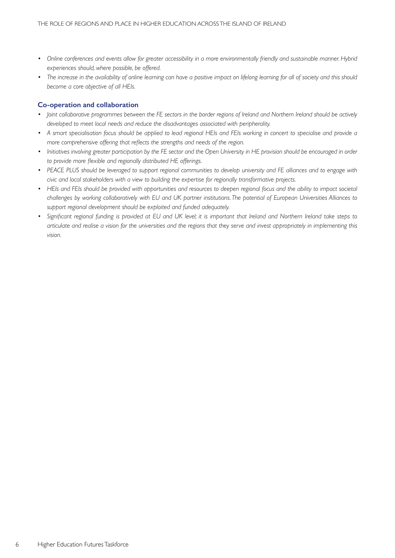- Online conferences and events allow for greater accessibility in a more environmentally friendly and sustainable manner. Hybrid *experiences should, where possible, be offered.*
- The increase in the availability of online learning can have a positive impact on lifelong learning for all of society and this should *become a core objective of all HEIs.*

### **Co-operation and collaboration**

- *Joint collaborative programmes between the FE sectors in the border regions of Ireland and Northern Ireland should be actively developed to meet local needs and reduce the disadvantages associated with peripherality.*
- A smart specialisation focus should be applied to lead regional HEIs and FEIs working in concert to specialise and provide a *more comprehensive offering that reflects the strengths and needs of the region.*
- Initiatives involving greater participation by the FE sector and the Open University in HE provision should be encouraged in order *to provide more flexible and regionally distributed HE offerings.*
- PEACE PLUS should be leveraged to support regional communities to develop university and FE alliances and to engage with *civic and local stakeholders with a view to building the expertise for regionally transformative projects.*
- HEIs and FEIs should be provided with opportunities and resources to deepen regional focus and the ability to impact societal *challenges by working collaboratively with EU and UK partner institutions. The potential of European Universities Alliances to support regional development should be exploited and funded adequately.*
- *• Significant regional funding is provided at EU and UK level; it is important that Ireland and Northern Ireland take steps to articulate and realise a vision for the universities and the regions that they serve and invest appropriately in implementing this vision.*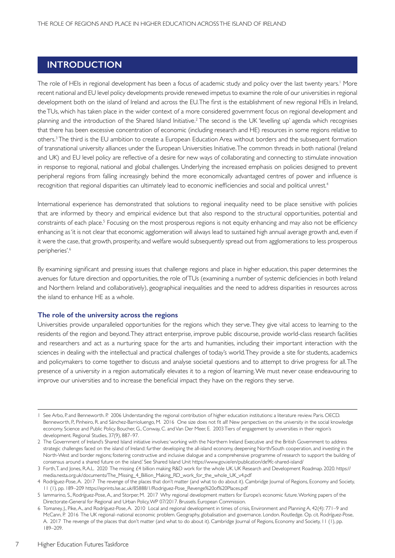## **INTRODUCTION**

The role of HEIs in regional development has been a focus of academic study and policy over the last twenty years.' More recent national and EU level policy developments provide renewed impetus to examine the role of our universities in regional development both on the island of Ireland and across the EU. The first is the establishment of new regional HEIs in Ireland, the TUs, which has taken place in the wider context of a more considered government focus on regional development and planning and the introduction of the Shared Island Initiative.<sup>2</sup> The second is the UK 'levelling up' agenda which recognises that there has been excessive concentration of economic (including research and HE) resources in some regions relative to others.3 The third is the EU ambition to create a European Education Area without borders and the subsequent formation of transnational university alliances under the European Universities Initiative. The common threads in both national (Ireland and UK) and EU level policy are reflective of a desire for new ways of collaborating and connecting to stimulate innovation in response to regional, national and global challenges. Underlying the increased emphasis on policies designed to prevent peripheral regions from falling increasingly behind the more economically advantaged centres of power and influence is recognition that regional disparities can ultimately lead to economic inefficiencies and social and political unrest.<sup>4</sup>

International experience has demonstrated that solutions to regional inequality need to be place sensitive with policies that are informed by theory and empirical evidence but that also respond to the structural opportunities, potential and constraints of each place.<sup>5</sup> Focusing on the most prosperous regions is not equity enhancing and may also not be efficiency enhancing as 'it is not clear that economic agglomeration will always lead to sustained high annual average growth and, even if it were the case, that growth, prosperity, and welfare would subsequently spread out from agglomerations to less prosperous peripheries'.6

By examining significant and pressing issues that challenge regions and place in higher education, this paper determines the avenues for future direction and opportunities, the role of TUs (examining a number of systemic deficiencies in both Ireland and Northern Ireland and collaboratively), geographical inequalities and the need to address disparities in resources across the island to enhance HE as a whole.

#### **The role of the university across the regions**

Universities provide unparalleled opportunities for the regions which they serve. They give vital access to learning to the residents of the region and beyond. They attract enterprise, improve public discourse, provide world-class research facilities and researchers and act as a nurturing space for the arts and humanities, including their important interaction with the sciences in dealing with the intellectual and practical challenges of today's world. They provide a site for students, academics and policymakers to come together to discuss and analyse societal questions and to attempt to drive progress for all. The presence of a university in a region automatically elevates it to a region of learning. We must never cease endeavouring to improve our universities and to increase the beneficial impact they have on the regions they serve.

<sup>1</sup> See Arbo, P. and Benneworth. P. 2006 Understanding the regional contribution of higher education institutions: a literature review. Paris. OECD. Benneworth, P., Pinheiro, R. and Sánchez-Barrioluengo, M. 2016 One size does not fit all! New perspectives on the university in the social knowledge economy. Science and Public Policy. Boucher, G., Conway, C. and Van Der Meer, E. 2003 Tiers of engagement by universities in their region's development. Regional Studies, 37(9), 887–97.

<sup>2</sup> The Government of Ireland's Shared Island initiative involves: 'working with the Northern Ireland Executive and the British Government to address strategic challenges faced on the island of Ireland: further developing the all-island economy, deepening North/South cooperation, and investing in the North-West and border regions; fostering constructive and inclusive dialogue and a comprehensive programme of research to support the building of consensus around a shared future on the island.' See Shared Island Unit https://www.gov.ie/en/publication/de9fc-shared-island/

<sup>3</sup> Forth, T. and Jones, R.A.L. 2020 The missing £4 billion making R&D work for the whole UK. UK Research and Development Roadmap. 2020. https:// media.nesta.org.uk/documents/The\_Missing\_4\_Billion\_Making\_RD\_work\_for\_the\_whole\_UK\_v4.pdf

<sup>4</sup> Rodríguez-Pose, A. 2017 The revenge of the places that don't matter (and what to do about it). Cambridge Journal of Regions, Economy and Society, 11 (1), pp. 189–209 https://eprints.lse.ac.uk/85888/1/Rodriguez-Pose\_Revenge%20of%20Places.pdf

<sup>5</sup> Iammarino, S., Rodríguez-Pose, A., and Storper, M. 2017 Why regional development matters for Europe's economic future. Working papers of the Directorate-General for Regional and Urban Policy, WP 07/2017. Brussels. European Commission.

<sup>6</sup> Tomaney, J., Pike, A., and Rodríguez-Pose, A. 2010 Local and regional development in times of crisis, Environment and Planning A, 42(4): 771–9 and McCann, P. 2016 The UK regional–national economic problem. Geography, globalisation and governance. London. Routledge. Op. cit. Rodríguez-Pose, A. 2017 The revenge of the places that don't matter (and what to do about it). Cambridge Journal of Regions, Economy and Society, 11 (1), pp. 189–209.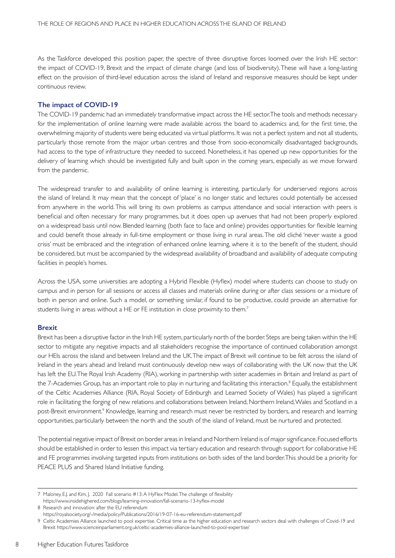As the Taskforce developed this position paper, the spectre of three disruptive forces loomed over the Irish HE sector: the impact of COVID-19, Brexit and the impact of climate change (and loss of biodiversity). These will have a long-lasting effect on the provision of third-level education across the island of Ireland and responsive measures should be kept under continuous review.

#### **The impact of COVID-19**

The COVID-19 pandemic had an immediately transformative impact across the HE sector. The tools and methods necessary for the implementation of online learning were made available across the board to academics and, for the first time, the overwhelming majority of students were being educated via virtual platforms. It was not a perfect system and not all students, particularly those remote from the major urban centres and those from socio-economically disadvantaged backgrounds, had access to the type of infrastructure they needed to succeed. Nonetheless, it has opened up new opportunities for the delivery of learning which should be investigated fully and built upon in the coming years, especially as we move forward from the pandemic.

The widespread transfer to and availability of online learning is interesting, particularly for underserved regions across the island of Ireland. It may mean that the concept of 'place' is no longer static and lectures could potentially be accessed from anywhere in the world. This will bring its own problems as campus attendance and social interaction with peers is beneficial and often necessary for many programmes, but it does open up avenues that had not been properly explored on a widespread basis until now. Blended learning (both face to face and online) provides opportunities for flexible learning and could benefit those already in full-time employment or those living in rural areas. The old cliché 'never waste a good crisis' must be embraced and the integration of enhanced online learning, where it is to the benefit of the student, should be considered, but must be accompanied by the widespread availability of broadband and availability of adequate computing facilities in people's homes.

Across the USA, some universities are adopting a Hybrid Flexible (Hyflex) model where students can choose to study on campus and in person for all sessions or access all classes and materials online during or after class sessions or a mixture of both in person and online. Such a model, or something similar, if found to be productive, could provide an alternative for students living in areas without a HE or FE institution in close proximity to them.7

#### **Brexit**

Brexit has been a disruptive factor in the Irish HE system, particularly north of the border. Steps are being taken within the HE sector to mitigate any negative impacts and all stakeholders recognise the importance of continued collaboration amongst our HEIs across the island and between Ireland and the UK. The impact of Brexit will continue to be felt across the island of Ireland in the years ahead and Ireland must continuously develop new ways of collaborating with the UK now that the UK has left the EU. The Royal Irish Academy (RIA), working in partnership with sister academies in Britain and Ireland as part of the 7-Academies Group, has an important role to play in nurturing and facilitating this interaction.<sup>8</sup> Equally, the establishment of the Celtic Academies Alliance (RIA, Royal Society of Edinburgh and Learned Society of Wales) has played a significant role in facilitating the forging of new relations and collaborations between Ireland, Northern Ireland, Wales and Scotland in a post-Brexit environment.<sup>9</sup> Knowledge, learning and research must never be restricted by borders, and research and learning opportunities, particularly between the north and the south of the island of Ireland, must be nurtured and protected.

The potential negative impact of Brexit on border areas in Ireland and Northern Ireland is of major significance. Focused efforts should be established in order to lessen this impact via tertiary education and research through support for collaborative HE and FE programmes involving targeted inputs from institutions on both sides of the land border. This should be a priority for PEACE PLUS and Shared Island Initiative funding.

<sup>7</sup> Maloney, E.J. and Kim, J. 2020 Fall scenario #13: A HyFlex Model. The challenge of flexibility https://www.insidehighered.com/blogs/learning-innovation/fall-scenario-13-hyflex-model

<sup>8</sup> Research and innovation: after the EU referendum

https://royalsociety.org/-/media/policy/Publications/2016/19-07-16-eu-referendum-statement.pdf

<sup>9</sup> Celtic Academies Alliance launched to pool expertise. Critical time as the higher education and research sectors deal with challenges of Covid-19 and Brexit https://www.scienceinparliament.org.uk/celtic-academies-alliance-launched-to-pool-expertise/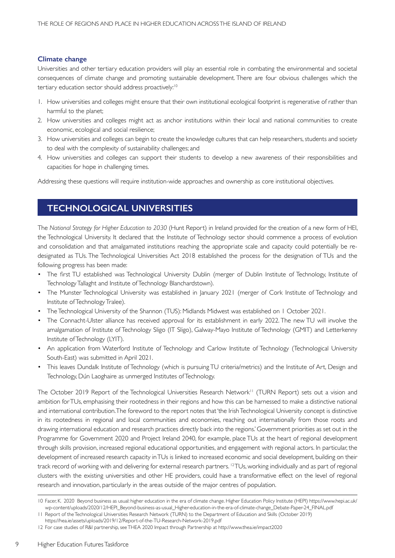#### **Climate change**

Universities and other tertiary education providers will play an essential role in combating the environmental and societal consequences of climate change and promoting sustainable development. There are four obvious challenges which the tertiary education sector should address proactively:<sup>10</sup>

- 1. How universities and colleges might ensure that their own institutional ecological footprint is regenerative of rather than harmful to the planet;
- 2. How universities and colleges might act as anchor institutions within their local and national communities to create economic, ecological and social resilience;
- 3. How universities and colleges can begin to create the knowledge cultures that can help researchers, students and society to deal with the complexity of sustainability challenges; and
- 4. How universities and colleges can support their students to develop a new awareness of their responsibilities and capacities for hope in challenging times.

Addressing these questions will require institution-wide approaches and ownership as core institutional objectives.

## **TECHNOLOGICAL UNIVERSITIES**

The *National Strategy for Higher Education to 2030* (Hunt Report) in Ireland provided for the creation of a new form of HEI, the Technological University. It declared that the Institute of Technology sector should commence a process of evolution and consolidation and that amalgamated institutions reaching the appropriate scale and capacity could potentially be redesignated as TUs. The Technological Universities Act 2018 established the process for the designation of TUs and the following progress has been made:

- The first TU established was Technological University Dublin (merger of Dublin Institute of Technology, Institute of Technology Tallaght and Institute of Technology Blanchardstown).
- The Munster Technological University was established in January 2021 (merger of Cork Institute of Technology and Institute of Technology Tralee).
- The Technological University of the Shannon (TUS): Midlands Midwest was established on 1 October 2021.
- The Connacht-Ulster alliance has received approval for its establishment in early 2022. The new TU will involve the amalgamation of Institute of Technology Sligo (IT Sligo), Galway-Mayo Institute of Technology (GMIT) and Letterkenny Institute of Technology (LYIT).
- An application from Waterford Institute of Technology and Carlow Institute of Technology (Technological University South-East) was submitted in April 2021.
- This leaves Dundalk Institute of Technology (which is pursuing TU criteria/metrics) and the Institute of Art, Design and Technology, Dún Laoghaire as unmerged Institutes of Technology.

The October 2019 Report of the Technological Universities Research Network<sup>11</sup> (TURN Report) sets out a vision and ambition for TUs, emphasising their rootedness in their regions and how this can be harnessed to make a distinctive national and international contribution. The foreword to the report notes that 'the Irish Technological University concept is distinctive in its rootedness in regional and local communities and economies, reaching out internationally from those roots and drawing international education and research practices directly back into the regions.' Government priorities as set out in the Programme for Government 2020 and Project Ireland 2040, for example, place TUs at the heart of regional development through skills provision, increased regional educational opportunities, and engagement with regional actors. In particular, the development of increased research capacity in TUs is linked to increased economic and social development, building on their track record of working with and delivering for external research partners. <sup>12</sup>TUs, working individually and as part of regional clusters with the existing universities and other HE providers, could have a transformative effect on the level of regional research and innovation, particularly in the areas outside of the major centres of population.

9

<sup>10</sup> Facer, K. 2020 Beyond business as usual: higher education in the era of climate change. Higher Education Policy Institute (HEPI) https://www.hepi.ac.uk/ wp-content/uploads/2020/12/HEPI\_Beyond-business-as-usual\_Higher-education-in-the-era-of-climate-change\_Debate-Paper-24\_FINAL.pdf

<sup>11</sup> Report of the Technological Universities Research Network (TURN) to the Department of Education and Skills (October 2019)

https://hea.ie/assets/uploads/2019/12/Report-of-the-TU-Research-Network-2019.pdf

<sup>12</sup> For case studies of R&I partnership, see THEA 2020 Impact through Partnership at http://www.thea.ie/impact2020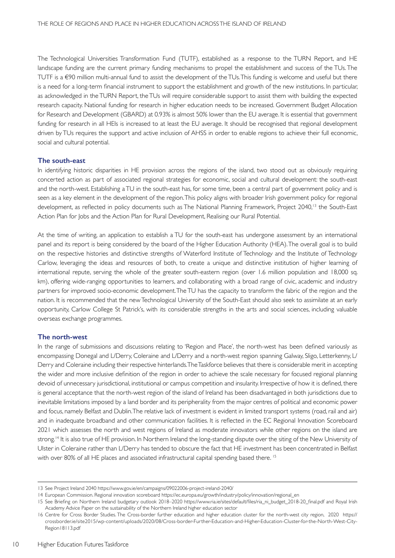The Technological Universities Transformation Fund (TUTF), established as a response to the TURN Report, and HE landscape funding are the current primary funding mechanisms to propel the establishment and success of the TUs. The TUTF is a €90 million multi-annual fund to assist the development of the TUs. This funding is welcome and useful but there is a need for a long-term financial instrument to support the establishment and growth of the new institutions. In particular, as acknowledged in the TURN Report, the TUs will require considerable support to assist them with building the expected research capacity. National funding for research in higher education needs to be increased. Government Budget Allocation for Research and Development (GBARD) at 0.93% is almost 50% lower than the EU average. It is essential that government funding for research in all HEIs is increased to at least the EU average. It should be recognised that regional development driven by TUs requires the support and active inclusion of AHSS in order to enable regions to achieve their full economic, social and cultural potential.

#### **The south-east**

In identifying historic disparities in HE provision across the regions of the island, two stood out as obviously requiring concerted action as part of associated regional strategies for economic, social and cultural development: the south-east and the north-west. Establishing a TU in the south-east has, for some time, been a central part of government policy and is seen as a key element in the development of the region. This policy aligns with broader Irish government policy for regional development, as reflected in policy documents such as The National Planning Framework, Project 2040,<sup>13</sup> the South-East Action Plan for Jobs and the Action Plan for Rural Development, Realising our Rural Potential.

At the time of writing, an application to establish a TU for the south-east has undergone assessment by an international panel and its report is being considered by the board of the Higher Education Authority (HEA). The overall goal is to build on the respective histories and distinctive strengths of Waterford Institute of Technology and the Institute of Technology Carlow, leveraging the ideas and resources of both, to create a unique and distinctive institution of higher learning of international repute, serving the whole of the greater south-eastern region (over 1.6 million population and 18,000 sq. km), offering wide-ranging opportunities to learners, and collaborating with a broad range of civic, academic and industry partners for improved socio-economic development. The TU has the capacity to transform the fabric of the region and the nation. It is recommended that the new Technological University of the South-East should also seek to assimilate at an early opportunity, Carlow College St Patrick's, with its considerable strengths in the arts and social sciences, including valuable overseas exchange programmes.

#### **The north-west**

In the range of submissions and discussions relating to 'Region and Place', the north-west has been defined variously as encompassing Donegal and L/Derry, Coleraine and L/Derry and a north-west region spanning Galway, Sligo, Letterkenny, L/ Derry and Coleraine including their respective hinterlands. The Taskforce believes that there is considerable merit in accepting the wider and more inclusive definition of the region in order to achieve the scale necessary for focused regional planning devoid of unnecessary jurisdictional, institutional or campus competition and insularity. Irrespective of how it is defined, there is general acceptance that the north-west region of the island of Ireland has been disadvantaged in both jurisdictions due to inevitable limitations imposed by a land border and its peripherality from the major centres of political and economic power and focus, namely Belfast and Dublin. The relative lack of investment is evident in limited transport systems (road, rail and air) and in inadequate broadband and other communication facilities. It is reflected in the EC Regional Innovation Scoreboard 2021 which assesses the north and west regions of Ireland as moderate innovators while other regions on the island are strong.<sup>14</sup> It is also true of HE provision. In Northern Ireland the long-standing dispute over the siting of the New University of Ulster in Coleraine rather than L/Derry has tended to obscure the fact that HE investment has been concentrated in Belfast with over 80% of all HE places and associated infrastructural capital spending based there.<sup>15</sup>

<sup>13</sup> See Project Ireland 2040 https://www.gov.ie/en/campaigns/09022006-project-ireland-2040/

<sup>14</sup> European Commission. Regional innovation scoreboard https://ec.europa.eu/growth/industry/policy/innovation/regional\_en

<sup>15</sup> See Briefing on Northern Ireland budgetary outlook 2018–2020 https://www.ria.ie/sites/default/files/ria\_ni\_budget\_2018-20\_final.pdf and Royal Irish Academy Advice Paper on the sustainability of the Northern Ireland higher education sector

<sup>16</sup> Centre for Cross Border Studies. The Cross-border further education and higher education cluster for the north-west city region, 2020 https:// crossborder.ie/site2015/wp-content/uploads/2020/08/Cross-border-Further-Education-and-Higher-Education-Cluster-for-the-North-West-City-Region 18113.pdf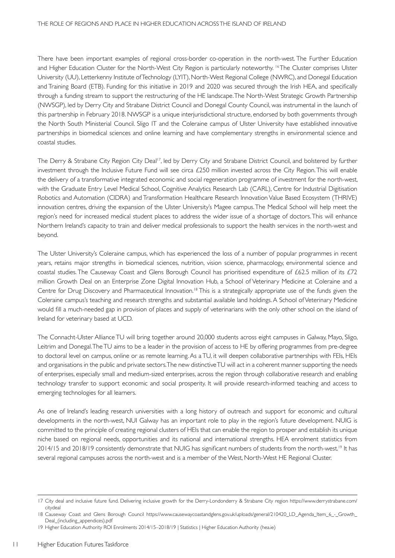There have been important examples of regional cross-border co-operation in the north-west. The Further Education and Higher Education Cluster for the North-West City Region is particularly noteworthy. <sup>16</sup> The Cluster comprises Ulster University (UU), Letterkenny Institute of Technology (LYIT), North-West Regional College (NWRC), and Donegal Education and Training Board (ETB). Funding for this initiative in 2019 and 2020 was secured through the Irish HEA, and specifically through a funding stream to support the restructuring of the HE landscape. The North-West Strategic Growth Partnership (NWSGP), led by Derry City and Strabane District Council and Donegal County Council, was instrumental in the launch of this partnership in February 2018. NWSGP is a unique interjurisdictional structure, endorsed by both governments through the North South Ministerial Council. Sligo IT and the Coleraine campus of Ulster University have established innovative partnerships in biomedical sciences and online learning and have complementary strengths in environmental science and coastal studies.

The Derry & Strabane City Region City Deal<sup>17</sup>, led by Derry City and Strabane District Council, and bolstered by further investment through the Inclusive Future Fund will see circa £250 million invested across the City Region. This will enable the delivery of a transformative integrated economic and social regeneration programme of investment for the north-west, with the Graduate Entry Level Medical School, Cognitive Analytics Research Lab (CARL), Centre for Industrial Digitisation Robotics and Automation (CIDRA) and Transformation Healthcare Research Innovation Value Based Ecosystem (THRIVE) innovation centres, driving the expansion of the Ulster University's Magee campus. The Medical School will help meet the region's need for increased medical student places to address the wider issue of a shortage of doctors. This will enhance Northern Ireland's capacity to train and deliver medical professionals to support the health services in the north-west and beyond.

The Ulster University's Coleraine campus, which has experienced the loss of a number of popular programmes in recent years, retains major strengths in biomedical sciences, nutrition, vision science, pharmacology, environmental science and coastal studies. The Causeway Coast and Glens Borough Council has prioritised expenditure of £62.5 million of its £72 million Growth Deal on an Enterprise Zone Digital Innovation Hub, a School of Veterinary Medicine at Coleraine and a Centre for Drug Discovery and Pharmaceutical Innovation.<sup>18</sup> This is a strategically appropriate use of the funds given the Coleraine campus's teaching and research strengths and substantial available land holdings. A School of Veterinary Medicine would fill a much-needed gap in provision of places and supply of veterinarians with the only other school on the island of Ireland for veterinary based at UCD.

The Connacht-Ulster Alliance TU will bring together around 20,000 students across eight campuses in Galway, Mayo, Sligo, Leitrim and Donegal. The TU aims to be a leader in the provision of access to HE by offering programmes from pre-degree to doctoral level on campus, online or as remote learning. As a TU, it will deepen collaborative partnerships with FEIs, HEIs and organisations in the public and private sectors. The new distinctive TU will act in a coherent manner supporting the needs of enterprises, especially small and medium-sized enterprises, across the region through collaborative research and enabling technology transfer to support economic and social prosperity. It will provide research-informed teaching and access to emerging technologies for all learners.

As one of Ireland's leading research universities with a long history of outreach and support for economic and cultural developments in the north-west, NUI Galway has an important role to play in the region's future development. NUIG is committed to the principle of creating regional clusters of HEIs that can enable the region to prosper and establish its unique niche based on regional needs, opportunities and its national and international strengths. HEA enrolment statistics from 2014/15 and 2018/19 consistently demonstrate that NUIG has significant numbers of students from the north-west.<sup>19</sup> It has several regional campuses across the north-west and is a member of the West, North-West HE Regional Cluster.

<sup>17</sup> City deal and inclusive future fund. Delivering inclusive growth for the Derry-Londonderry & Strabane City region https://www.derrystrabane.com/ citydeal

<sup>18</sup> Causeway Coast and Glens Borough Council https://www.causewaycoastandglens.gov.uk/uploads/general/210420\_LD\_Agenda\_Item\_6\_-\_Growth\_ Deal (including appendices).pdf

<sup>19</sup> Higher Education Authority ROI Enrolments 2014/15–2018/19 | Statistics | Higher Education Authority (hea.ie)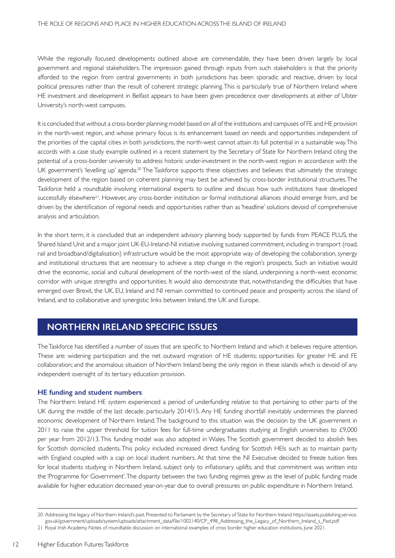While the regionally focused developments outlined above are commendable, they have been driven largely by local government and regional stakeholders. The impression gained through inputs from such stakeholders is that the priority afforded to the region from central governments in both jurisdictions has been sporadic and reactive, driven by local political pressures rather than the result of coherent strategic planning. This is particularly true of Northern Ireland where HE investment and development in Belfast appears to have been given precedence over developments at either of Ulster University's north-west campuses.

It is concluded that without a cross-border planning model based on all of the institutions and campuses of FE and HE provision in the north-west region, and whose primary focus is its enhancement based on needs and opportunities independent of the priorities of the capital cities in both jurisdictions, the north-west cannot attain its full potential in a sustainable way. This accords with a case study example outlined in a recent statement by the Secretary of State for Northern Ireland citing the potential of a cross-border university to address historic under-investment in the north-west region in accordance with the UK government's 'levelling up' agenda.<sup>20</sup> The Taskforce supports these objectives and believes that ultimately the strategic development of the region based on coherent planning may best be achieved by cross-border institutional structures. The Taskforce held a roundtable involving international experts to outline and discuss how such institutions have developed successfully elsewhere<sup>21</sup>. However, any cross-border institution or formal institutional alliances should emerge from, and be driven by, the identification of regional needs and opportunities rather than as 'headline' solutions devoid of comprehensive analysis and articulation.

In the short term, it is concluded that an independent advisory planning body supported by funds from PEACE PLUS, the Shared Island Unit and a major joint UK-EU-Ireland-NI initiative involving sustained commitment, including in transport (road, rail and broadband/digitalisation) infrastructure would be the most appropriate way of developing the collaboration, synergy and institutional structures that are necessary to achieve a step change in the region's prospects. Such an initiative would drive the economic, social and cultural development of the north-west of the island, underpinning a north-west economic corridor with unique strengths and opportunities. It would also demonstrate that, notwithstanding the difficulties that have emerged over Brexit, the UK, EU, Ireland and NI remain committed to continued peace and prosperity across the island of Ireland, and to collaborative and synergistic links between Ireland, the UK and Europe.

## **NORTHERN IRELAND SPECIFIC ISSUES**

The Taskforce has identified a number of issues that are specific to Northern Ireland and which it believes require attention. These are: widening participation and the net outward migration of HE students; opportunities for greater HE and FE collaboration; and the anomalous situation of Northern Ireland being the only region in these islands which is devoid of any independent oversight of its tertiary education provision.

### **HE funding and student numbers**

The Northern Ireland HE system experienced a period of underfunding relative to that pertaining to other parts of the UK during the middle of the last decade, particularly 2014/15. Any HE funding shortfall inevitably undermines the planned economic development of Northern Ireland. The background to this situation was the decision by the UK government in 2011 to raise the upper threshold for tuition fees for full-time undergraduates studying at English universities to £9,000 per year from 2012/13. This funding model was also adopted in Wales. The Scottish government decided to abolish fees for Scottish domiciled students. This policy included increased direct funding for Scottish HEIs such as to maintain parity with England coupled with a cap on local student numbers. At that time the NI Executive decided to freeze tuition fees for local students studying in Northern Ireland, subject only to inflationary uplifts, and that commitment was written into the 'Programme for Government'. The disparity between the two funding regimes grew as the level of public funding made available for higher education decreased year-on-year due to overall pressures on public expenditure in Northern Ireland.

12

<sup>20</sup> Addressing the legacy of Northern Ireland's past. Presented to Parliament by the Secretary of State for Northern Ireland https://assets.publishing.service. gov.uk/government/uploads/system/uploads/attachment\_data/file/1002140/CP\_498\_Addressing\_the\_Legacy\_of\_Northern\_Ireland\_s\_Past.pdf

<sup>21</sup> Royal Irish Academy. Notes of roundtable discussion on international examples of cross border higher education institutions, June 2021.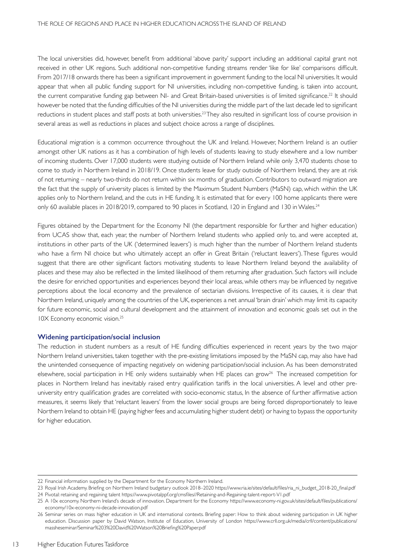The local universities did, however, benefit from additional 'above parity' support including an additional capital grant not received in other UK regions. Such additional non-competitive funding streams render 'like for like' comparisons difficult. From 2017/18 onwards there has been a significant improvement in government funding to the local NI universities. It would appear that when all public funding support for NI universities, including non-competitive funding, is taken into account, the current comparative funding gap between NI- and Great Britain-based universities is of limited significance.<sup>22</sup> It should however be noted that the funding difficulties of the NI universities during the middle part of the last decade led to significant reductions in student places and staff posts at both universities.23 They also resulted in significant loss of course provision in several areas as well as reductions in places and subject choice across a range of disciplines.

Educational migration is a common occurrence throughout the UK and Ireland. However, Northern Ireland is an outlier amongst other UK nations as it has a combination of high levels of students leaving to study elsewhere and a low number of incoming students. Over 17,000 students were studying outside of Northern Ireland while only 3,470 students chose to come to study in Northern Ireland in 2018/19. Once students leave for study outside of Northern Ireland, they are at risk of not returning – nearly two-thirds do not return within six months of graduation. Contributors to outward migration are the fact that the supply of university places is limited by the Maximum Student Numbers (MaSN) cap, which within the UK applies only to Northern Ireland, and the cuts in HE funding. It is estimated that for every 100 home applicants there were only 60 available places in 2018/2019, compared to 90 places in Scotland, 120 in England and 130 in Wales.<sup>24</sup>

Figures obtained by the Department for the Economy NI (the department responsible for further and higher education) from UCAS show that, each year, the number of Northern Ireland students who applied only to, and were accepted at, institutions in other parts of the UK ('determined leavers') is much higher than the number of Northern Ireland students who have a firm NI choice but who ultimately accept an offer in Great Britain ('reluctant leavers'). These figures would suggest that there are other significant factors motivating students to leave Northern Ireland beyond the availability of places and these may also be reflected in the limited likelihood of them returning after graduation. Such factors will include the desire for enriched opportunities and experiences beyond their local areas, while others may be influenced by negative perceptions about the local economy and the prevalence of sectarian divisions. Irrespective of its causes, it is clear that Northern Ireland, uniquely among the countries of the UK, experiences a net annual 'brain drain' which may limit its capacity for future economic, social and cultural development and the attainment of innovation and economic goals set out in the 10X Economy economic vision.25

#### **Widening participation/social inclusion**

The reduction in student numbers as a result of HE funding difficulties experienced in recent years by the two major Northern Ireland universities, taken together with the pre-existing limitations imposed by the MaSN cap, may also have had the unintended consequence of impacting negatively on widening participation/social inclusion. As has been demonstrated elsewhere, social participation in HE only widens sustainably when HE places can grow<sup>26</sup> The increased competition for places in Northern Ireland has inevitably raised entry qualification tariffs in the local universities. A level and other preuniversity entry qualification grades are correlated with socio-economic status, In the absence of further affirmative action measures, it seems likely that 'reluctant leavers' from the lower social groups are being forced disproportionately to leave Northern Ireland to obtain HE (paying higher fees and accumulating higher student debt) or having to bypass the opportunity for higher education.

<sup>22</sup> Financial information supplied by the Department for the Economy Northern Ireland.

<sup>23</sup> Royal Irish Academy. Briefing on Northern Ireland budgetary outlook 2018–2020 https://www.ria.ie/sites/default/files/ria\_ni\_budget\_2018-20\_final.pdf 24 Pivotal: retaining and regaining talent https://www.pivotalppf.org/cmsfiles//Retaining-and-Regaining-talent-report-V1.pdf

<sup>25</sup> A 10x economy. Northern Ireland's decade of innovation. Department for the Economy https://www.economy-ni.gov.uk/sites/default/files/publications/ economy/10x-economy-ni-decade-innovation.pdf

<sup>26</sup> Seminar series on mass higher education in UK and international contexts. Briefing paper: How to think about widening participation in UK higher education. Discussion paper by David Watson, Institute of Education, University of London https://www.crll.org.uk/media/crll/content/publications/ massheseminar/Seminar%203%20David%20Watson%20Briefing%20Paper.pdf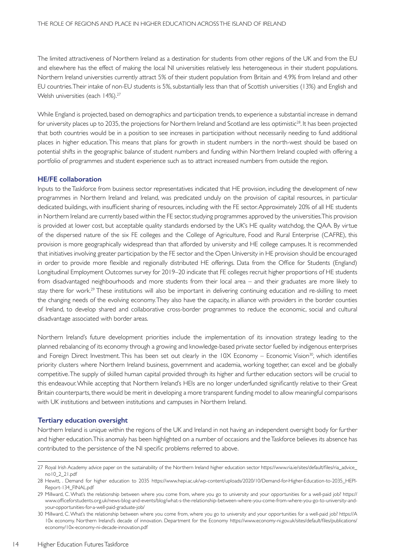The limited attractiveness of Northern Ireland as a destination for students from other regions of the UK and from the EU and elsewhere has the effect of making the local NI universities relatively less heterogeneous in their student populations. Northern Ireland universities currently attract 5% of their student population from Britain and 4.9% from Ireland and other EU countries. Their intake of non-EU students is 5%, substantially less than that of Scottish universities (13%) and English and Welsh universities (each 14%).<sup>27</sup>

While England is projected, based on demographics and participation trends, to experience a substantial increase in demand for university places up to 2035, the projections for Northern Ireland and Scotland are less optimistic<sup>28</sup>. It has been projected that both countries would be in a position to see increases in participation without necessarily needing to fund additional places in higher education. This means that plans for growth in student numbers in the north-west should be based on potential shifts in the geographic balance of student numbers and funding within Northern Ireland coupled with offering a portfolio of programmes and student experience such as to attract increased numbers from outside the region.

#### **HE/FE collaboration**

Inputs to the Taskforce from business sector representatives indicated that HE provision, including the development of new programmes in Northern Ireland and Ireland, was predicated unduly on the provision of capital resources, in particular dedicated buildings, with insufficient sharing of resources, including with the FE sector. Approximately 20% of all HE students in Northern Ireland are currently based within the FE sector, studying programmes approved by the universities. This provision is provided at lower cost, but acceptable quality standards endorsed by the UK's HE quality watchdog, the QAA. By virtue of the dispersed nature of the six FE colleges and the College of Agriculture, Food and Rural Enterprise (CAFRE), this provision is more geographically widespread than that afforded by university and HE college campuses. It is recommended that initiatives involving greater participation by the FE sector and the Open University in HE provision should be encouraged in order to provide more flexible and regionally distributed HE offerings. Data from the Office for Students (England) Longitudinal Employment Outcomes survey for 2019–20 indicate that FE colleges recruit higher proportions of HE students from disadvantaged neighbourhoods and more students from their local area – and their graduates are more likely to stay there for work.<sup>29</sup> These institutions will also be important in delivering continuing education and re-skilling to meet the changing needs of the evolving economy. They also have the capacity, in alliance with providers in the border counties of Ireland, to develop shared and collaborative cross-border programmes to reduce the economic, social and cultural disadvantage associated with border areas.

Northern Ireland's future development priorities include the implementation of its innovation strategy leading to the planned rebalancing of its economy through a growing and knowledge-based private sector fuelled by indigenous enterprises and Foreign Direct Investment. This has been set out clearly in the 10X Economy – Economic Vision<sup>30</sup>, which identifies priority clusters where Northern Ireland business, government and academia, working together, can excel and be globally competitive. The supply of skilled human capital provided through its higher and further education sectors will be crucial to this endeavour. While accepting that Northern Ireland's HEIs are no longer underfunded significantly relative to their Great Britain counterparts, there would be merit in developing a more transparent funding model to allow meaningful comparisons with UK institutions and between institutions and campuses in Northern Ireland.

#### **Tertiary education oversight**

Northern Ireland is unique within the regions of the UK and Ireland in not having an independent oversight body for further and higher education. This anomaly has been highlighted on a number of occasions and the Taskforce believes its absence has contributed to the persistence of the NI specific problems referred to above.

<sup>27</sup> Royal Irish Academy advice paper on the sustainability of the Northern Ireland higher education sector https://www.ria.ie/sites/default/files/ria\_advice\_ no10\_2\_21.pdf

<sup>28</sup> Hewitt, . Demand for higher education to 2035 https://www.hepi.ac.uk/wp-content/uploads/2020/10/Demand-for-Higher-Education-to-2035\_HEPI-Report-134\_FINAL.pdf

<sup>29</sup> Millward, C. What's the relationship between where you come from, where you go to university and your opportunities for a well-paid job? https:// www.officeforstudents.org.uk/news-blog-and-events/blog/what-s-the-relationship-between-where-you-come-from-where-you-go-to-university-andyour-opportunities-for-a-well-paid-graduate-job/

<sup>30</sup> Millward, C. What's the relationship between where you come from, where you go to university and your opportunities for a well-paid job? https://A 10x economy. Northern Ireland's decade of innovation. Department for the Economy https://www.economy-ni.gov.uk/sites/default/files/publications/ economy/10x-economy-ni-decade-innovation.pdf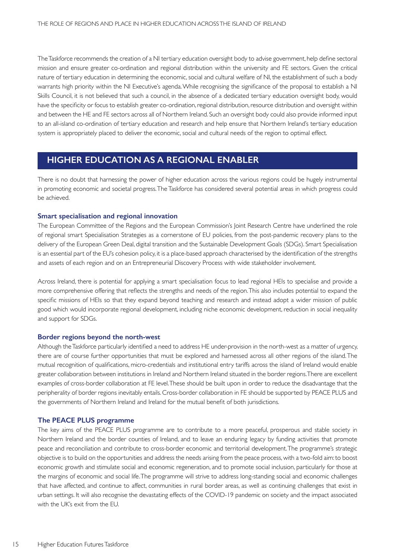The Taskforce recommends the creation of a NI tertiary education oversight body to advise government, help define sectoral mission and ensure greater co-ordination and regional distribution within the university and FE sectors. Given the critical nature of tertiary education in determining the economic, social and cultural welfare of NI, the establishment of such a body warrants high priority within the NI Executive's agenda. While recognising the significance of the proposal to establish a NI Skills Council, it is not believed that such a council, in the absence of a dedicated tertiary education oversight body, would have the specificity or focus to establish greater co-ordination, regional distribution, resource distribution and oversight within and between the HE and FE sectors across all of Northern Ireland. Such an oversight body could also provide informed input to an all-island co-ordination of tertiary education and research and help ensure that Northern Ireland's tertiary education system is appropriately placed to deliver the economic, social and cultural needs of the region to optimal effect.

## **HIGHER EDUCATION AS A REGIONAL ENABLER**

There is no doubt that harnessing the power of higher education across the various regions could be hugely instrumental in promoting economic and societal progress. The Taskforce has considered several potential areas in which progress could be achieved.

#### **Smart specialisation and regional innovation**

The European Committee of the Regions and the European Commission's Joint Research Centre have underlined the role of regional smart Specialisation Strategies as a cornerstone of EU policies, from the post-pandemic recovery plans to the delivery of the European Green Deal, digital transition and the Sustainable Development Goals (SDGs). Smart Specialisation is an essential part of the EU's cohesion policy, it is a place-based approach characterised by the identification of the strengths and assets of each region and on an Entrepreneurial Discovery Process with wide stakeholder involvement.

Across Ireland, there is potential for applying a smart specialisation focus to lead regional HEIs to specialise and provide a more comprehensive offering that reflects the strengths and needs of the region. This also includes potential to expand the specific missions of HEIs so that they expand beyond teaching and research and instead adopt a wider mission of public good which would incorporate regional development, including niche economic development, reduction in social inequality and support for SDGs.

#### **Border regions beyond the north-west**

Although the Taskforce particularly identified a need to address HE under-provision in the north-west as a matter of urgency, there are of course further opportunities that must be explored and harnessed across all other regions of the island. The mutual recognition of qualifications, micro-credentials and institutional entry tariffs across the island of Ireland would enable greater collaboration between institutions in Ireland and Northern Ireland situated in the border regions. There are excellent examples of cross-border collaboration at FE level. These should be built upon in order to reduce the disadvantage that the peripherality of border regions inevitably entails. Cross-border collaboration in FE should be supported by PEACE PLUS and the governments of Northern Ireland and Ireland for the mutual benefit of both jurisdictions.

### **The PEACE PLUS programme**

The key aims of the PEACE PLUS programme are to contribute to a more peaceful, prosperous and stable society in Northern Ireland and the border counties of Ireland, and to leave an enduring legacy by funding activities that promote peace and reconciliation and contribute to cross-border economic and territorial development. The programme's strategic objective is to build on the opportunities and address the needs arising from the peace process, with a two-fold aim: to boost economic growth and stimulate social and economic regeneration, and to promote social inclusion, particularly for those at the margins of economic and social life. The programme will strive to address long-standing social and economic challenges that have affected, and continue to affect, communities in rural border areas, as well as continuing challenges that exist in urban settings. It will also recognise the devastating effects of the COVID-19 pandemic on society and the impact associated with the UK's exit from the EU.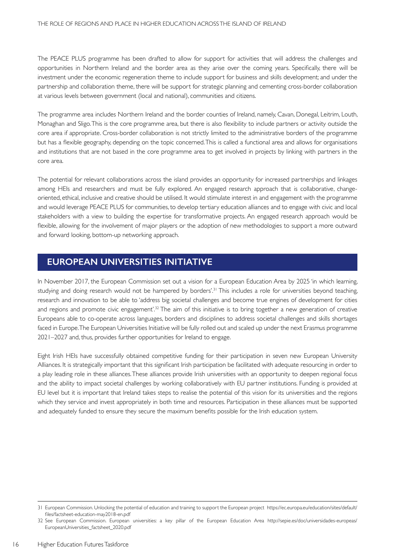The PEACE PLUS programme has been drafted to allow for support for activities that will address the challenges and opportunities in Northern Ireland and the border area as they arise over the coming years. Specifically, there will be investment under the economic regeneration theme to include support for business and skills development; and under the partnership and collaboration theme, there will be support for strategic planning and cementing cross-border collaboration at various levels between government (local and national), communities and citizens.

The programme area includes Northern Ireland and the border counties of Ireland, namely, Cavan, Donegal, Leitrim, Louth, Monaghan and Sligo. This is the core programme area, but there is also flexibility to include partners or activity outside the core area if appropriate. Cross-border collaboration is not strictly limited to the administrative borders of the programme but has a flexible geography, depending on the topic concerned. This is called a functional area and allows for organisations and institutions that are not based in the core programme area to get involved in projects by linking with partners in the core area.

The potential for relevant collaborations across the island provides an opportunity for increased partnerships and linkages among HEIs and researchers and must be fully explored. An engaged research approach that is collaborative, changeoriented, ethical, inclusive and creative should be utilised. It would stimulate interest in and engagement with the programme and would leverage PEACE PLUS for communities, to develop tertiary education alliances and to engage with civic and local stakeholders with a view to building the expertise for transformative projects. An engaged research approach would be flexible, allowing for the involvement of major players or the adoption of new methodologies to support a more outward and forward looking, bottom-up networking approach.

## **EUROPEAN UNIVERSITIES INITIATIVE**

In November 2017, the European Commission set out a vision for a European Education Area by 2025 'in which learning, studying and doing research would not be hampered by borders'.<sup>31</sup> This includes a role for universities beyond teaching, research and innovation to be able to 'address big societal challenges and become true engines of development for cities and regions and promote civic engagement'.<sup>32</sup> The aim of this initiative is to bring together a new generation of creative Europeans able to co-operate across languages, borders and disciplines to address societal challenges and skills shortages faced in Europe. The European Universities Initiative will be fully rolled out and scaled up under the next Erasmus programme 2021–2027 and, thus, provides further opportunities for Ireland to engage.

Eight Irish HEIs have successfully obtained competitive funding for their participation in seven new European University Alliances. It is strategically important that this significant Irish participation be facilitated with adequate resourcing in order to a play leading role in these alliances. These alliances provide Irish universities with an opportunity to deepen regional focus and the ability to impact societal challenges by working collaboratively with EU partner institutions. Funding is provided at EU level but it is important that Ireland takes steps to realise the potential of this vision for its universities and the regions which they service and invest appropriately in both time and resources. Participation in these alliances must be supported and adequately funded to ensure they secure the maximum benefits possible for the Irish education system.

<sup>31</sup> European Commission. Unlocking the potential of education and training to support the European project https://ec.europa.eu/education/sites/default/ files/factsheet-education-may2018-en.pdf

<sup>32</sup> See European Commission. European universities: a key pillar of the European Education Area http://sepie.es/doc/universidades-europeas/ EuropeanUniversities\_factsheet\_2020.pdf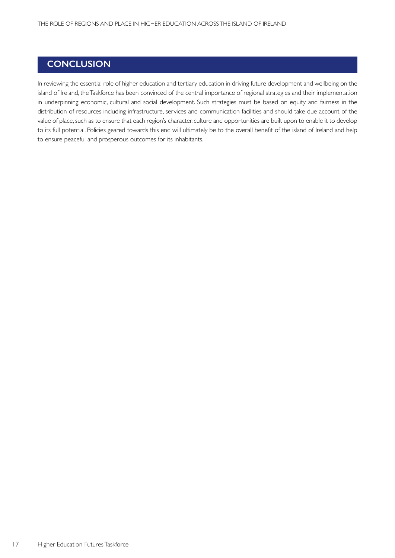## **CONCLUSION**

In reviewing the essential role of higher education and tertiary education in driving future development and wellbeing on the island of Ireland, the Taskforce has been convinced of the central importance of regional strategies and their implementation in underpinning economic, cultural and social development. Such strategies must be based on equity and fairness in the distribution of resources including infrastructure, services and communication facilities and should take due account of the value of place, such as to ensure that each region's character, culture and opportunities are built upon to enable it to develop to its full potential. Policies geared towards this end will ultimately be to the overall benefit of the island of Ireland and help to ensure peaceful and prosperous outcomes for its inhabitants.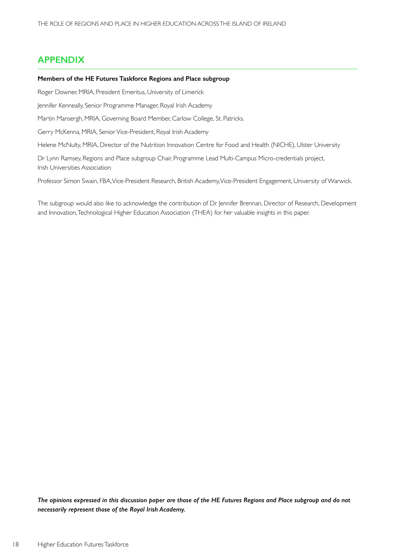## **APPENDIX**

#### **Members of the HE Futures Taskforce Regions and Place subgroup**

Roger Downer, MRIA, President Emeritus, University of Limerick

Jennifer Kenneally, Senior Programme Manager, Royal Irish Academy

Martin Mansergh, MRIA, Governing Board Member, Carlow College, St. Patricks.

Gerry McKenna, MRIA, Senior Vice-President, Royal Irish Academy

Helene McNulty, MRIA, Director of the Nutrition Innovation Centre for Food and Health (NICHE), Ulster University

Dr Lynn Ramsey, Regions and Place subgroup Chair, Programme Lead Multi-Campus Micro-credentials project, Irish Universities Association

Professor Simon Swain, FBA, Vice-President Research, British Academy, Vice-President Engagement, University of Warwick.

The subgroup would also like to acknowledge the contribution of Dr Jennifer Brennan, Director of Research, Development and Innovation, Technological Higher Education Association (THEA) for her valuable insights in this paper.

*The opinions expressed in this discussion paper are those of the HE Futures Regions and Place subgroup and do not necessarily represent those of the Royal Irish Academy.*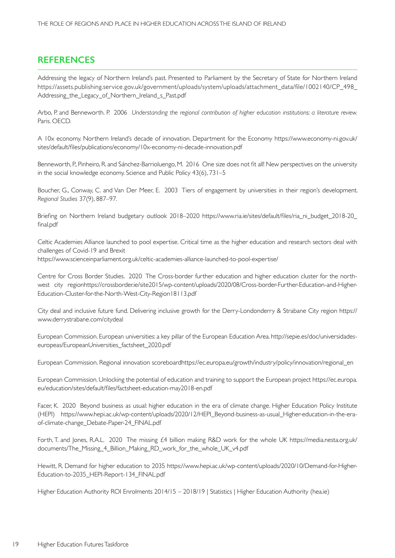## **REFERENCES**

Addressing the legacy of Northern Ireland's past. Presented to Parliament by the Secretary of State for Northern Ireland https://assets.publishing.service.gov.uk/government/uploads/system/uploads/attachment\_data/file/1002140/CP\_498\_ Addressing the Legacy of Northern Ireland s Past.pdf

Arbo, P. and Benneworth. P. 2006 *Understanding the regional contribution of higher education institutions: a literature review.* Paris. OECD.

A 10x economy. Northern Ireland's decade of innovation. Department for the Economy https://www.economy-ni.gov.uk/ sites/default/files/publications/economy/10x-economy-ni-decade-innovation.pdf

Benneworth, P., Pinheiro, R. and Sánchez-Barrioluengo, M. 2016 One size does not fit all! New perspectives on the university in the social knowledge economy. Science and Public Policy 43(6), 731–5

Boucher, G., Conway, C. and Van Der Meer, E. 2003 Tiers of engagement by universities in their region's development. *Regional Studies* 37(9), 887–97.

Briefing on Northern Ireland budgetary outlook 2018–2020 https://www.ria.ie/sites/default/files/ria\_ni\_budget\_2018-20\_ final.pdf

Celtic Academies Alliance launched to pool expertise. Critical time as the higher education and research sectors deal with challenges of Covid-19 and Brexit

https://www.scienceinparliament.org.uk/celtic-academies-alliance-launched-to-pool-expertise/

Centre for Cross Border Studies. 2020 The Cross-border further education and higher education cluster for the northwest city regionhttps://crossborder.ie/site2015/wp-content/uploads/2020/08/Cross-border-Further-Education-and-Higher-Education-Cluster-for-the-North-West-City-Region18113.pdf

City deal and inclusive future fund. Delivering inclusive growth for the Derry-Londonderry & Strabane City region https:// www.derrystrabane.com/citydeal

European Commission. European universities: a key pillar of the European Education Area. http://sepie.es/doc/universidadeseuropeas/EuropeanUniversities factsheet 2020.pdf

European Commission. Regional innovation scoreboardhttps://ec.europa.eu/growth/industry/policy/innovation/regional\_en

European Commission. Unlocking the potential of education and training to support the European project https://ec.europa. eu/education/sites/default/files/factsheet-education-may2018-en.pdf

Facer, K. 2020 Beyond business as usual: higher education in the era of climate change. Higher Education Policy Institute (HEPI) https://www.hepi.ac.uk/wp-content/uploads/2020/12/HEPI\_Beyond-business-as-usual\_Higher-education-in-the-eraof-climate-change\_Debate-Paper-24\_FINAL.pdf

Forth, T. and Jones, R.A.L. 2020 The missing £4 billion making R&D work for the whole UK https://media.nesta.org.uk/ documents/The\_Missing\_4\_Billion\_Making\_RD\_work\_for\_the\_whole\_UK\_v4.pdf

Hewitt, R. Demand for higher education to 2035 https://www.hepi.ac.uk/wp-content/uploads/2020/10/Demand-for-Higher-Education-to-2035\_HEPI-Report-134\_FINAL.pdf

Higher Education Authority ROI Enrolments 2014/15 – 2018/19 | Statistics | Higher Education Authority (hea.ie)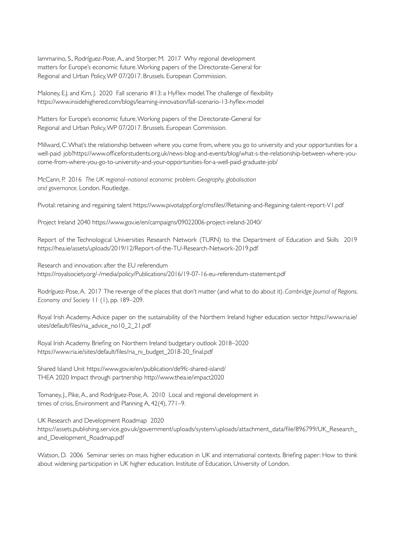Iammarino, S., Rodríguez-Pose, A., and Storper, M. 2017 Why regional development matters for Europe's economic future. Working papers of the Directorate-General for Regional and Urban Policy, WP 07/2017. Brussels. European Commission.

Maloney, E.J. and Kim, J. 2020 Fall scenario #13: a HyFlex model. The challenge of flexibility https://www.insidehighered.com/blogs/learning-innovation/fall-scenario-13-hyflex-model

Matters for Europe's economic future. Working papers of the Directorate-General for Regional and Urban Policy, WP 07/2017. Brussels. European Commission.

Millward, C. What's the relationship between where you come from, where you go to university and your opportunities for a well-paid job?https://www.officeforstudents.org.uk/news-blog-and-events/blog/what-s-the-relationship-between-where-youcome-from-where-you-go-to-university-and-your-opportunities-for-a-well-paid-graduate-job/

McCann, P. 2016 *The UK regional–national economic problem. Geography, globalisation and governance.* London. Routledge.

Pivotal: retaining and regaining talent https://www.pivotalppf.org/cmsfiles//Retaining-and-Regaining-talent-report-V1.pdf

Project Ireland 2040 https://www.gov.ie/en/campaigns/09022006-project-ireland-2040/

Report of the Technological Universities Research Network (TURN) to the Department of Education and Skills 2019 https://hea.ie/assets/uploads/2019/12/Report-of-the-TU-Research-Network-2019.pdf

Research and innovation: after the EU referendum https://royalsociety.org/-/media/policy/Publications/2016/19-07-16-eu-referendum-statement.pdf

Rodríguez-Pose, A. 2017 The revenge of the places that don't matter (and what to do about it). *Cambridge Journal of Regions, Economy and Society* 11 (1), pp. 189–209.

Royal Irish Academy. Advice paper on the sustainability of the Northern Ireland higher education sector https://www.ria.ie/ sites/default/files/ria\_advice\_no10\_2\_21.pdf

Royal Irish Academy. Briefing on Northern Ireland budgetary outlook 2018–2020 https://www.ria.ie/sites/default/files/ria\_ni\_budget\_2018-20\_final.pdf

Shared Island Unit https://www.gov.ie/en/publication/de9fc-shared-island/ THEA 2020 Impact through partnership http://www.thea.ie/impact2020

Tomaney, J., Pike, A., and Rodríguez-Pose, A. 2010 Local and regional development in times of crisis, Environment and Planning A, 42(4), 771–9.

UK Research and Development Roadmap 2020 https://assets.publishing.service.gov.uk/government/uploads/system/uploads/attachment\_data/file/896799/UK\_Research\_ and\_Development\_Roadmap.pdf

Watson, D. 2006 Seminar series on mass higher education in UK and international contexts. Briefing paper: How to think about widening participation in UK higher education. Institute of Education, University of London.